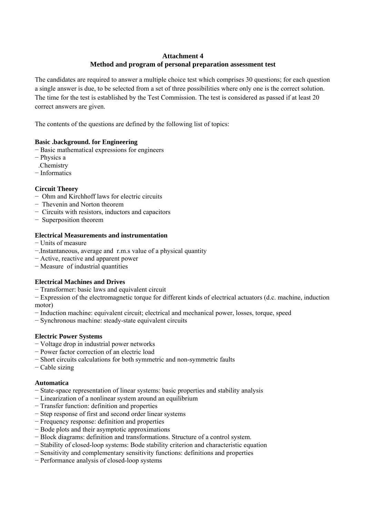# **Attachment 4 Method and program of personal preparation assessment test**

The candidates are required to answer a multiple choice test which comprises 30 questions; for each question a single answer is due, to be selected from a set of three possibilities where only one is the correct solution. The time for the test is established by the Test Commission. The test is considered as passed if at least 20 correct answers are given.

The contents of the questions are defined by the following list of topics:

## **Basic .background. for Engineering**

- − Basic mathematical expressions for engineers
- − Physics a
- .Chemistry
- − Informatics

# **Circuit Theory**

- − Ohm and Kirchhoff laws for electric circuits
- − Thevenin and Norton theorem
- − Circuits with resistors, inductors and capacitors
- − Superposition theorem

## **Electrical Measurements and instrumentation**

- − Units of measure
- −.Instantaneous, average and r.m.s value of a physical quantity
- − Active, reactive and apparent power
- − Measure of industrial quantities

## **Electrical Machines and Drives**

− Transformer: basic laws and equivalent circuit

− Expression of the electromagnetic torque for different kinds of electrical actuators (d.c. machine, induction motor)

- − Induction machine: equivalent circuit; electrical and mechanical power, losses, torque, speed
- − Synchronous machine: steady-state equivalent circuits

## **Electric Power Systems**

- − Voltage drop in industrial power networks
- − Power factor correction of an electric load
- − Short circuits calculations for both symmetric and non-symmetric faults
- − Cable sizing

## **Automatica**

- − State-space representation of linear systems: basic properties and stability analysis
- − Linearization of a nonlinear system around an equilibrium
- − Transfer function: definition and properties
- − Step response of first and second order linear systems
- − Frequency response: definition and properties
- − Bode plots and their asymptotic approximations
- − Block diagrams: definition and transformations. Structure of a control system.
- − Stability of closed-loop systems: Bode stability criterion and characteristic equation
- − Sensitivity and complementary sensitivity functions: definitions and properties
- − Performance analysis of closed-loop systems